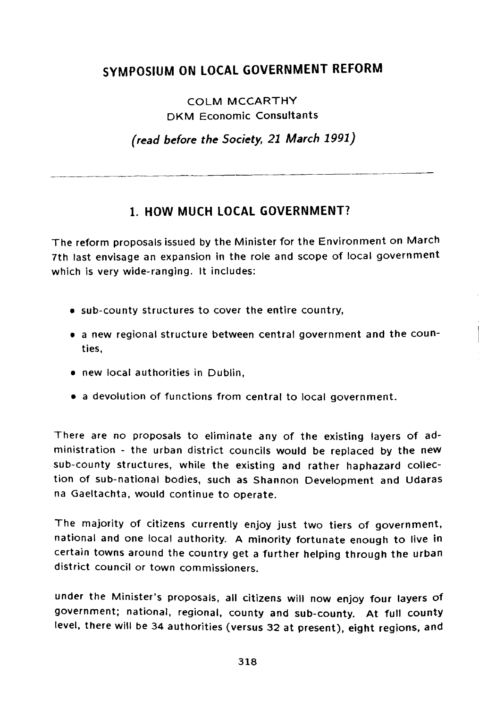# **SYMPOSIUM ON LOCAL GOVERNMENT REFORM**

COLM MCCARTHY DKM Economic Consultants

*(read before the Society, 21 March 1991)*

### **1. HOW MUCH LOCAL GOVERNMENT?**

The reform proposals issued by the Minister for the Environment on March 7th last envisage an expansion in the role and scope of local government which is very wide-ranging. It includes:

- sub-county structures to cover the entire country,
- a new regional structure between central government and the counties,
- new local authorities in Dublin,
- a devolution of functions from central to local government.

There are no proposals to eliminate any of the existing layers of administration - the urban district councils would be replaced by the new sub-county structures, while the existing and rather haphazard collection of sub-national bodies, such as Shannon Development and Udaras na Gaeltachta, would continue to operate.

The majority of citizens currently enjoy just two tiers of government, national and one local authority. A minority fortunate enough to live in certain towns around the country get a further helping through the urban district council or town commissioners.

under the Minister's proposals, all citizens will now enjoy four layers of government; national, regional, county and sub-county. At full county level, there will be 34 authorities (versus 32 at present), eight regions, and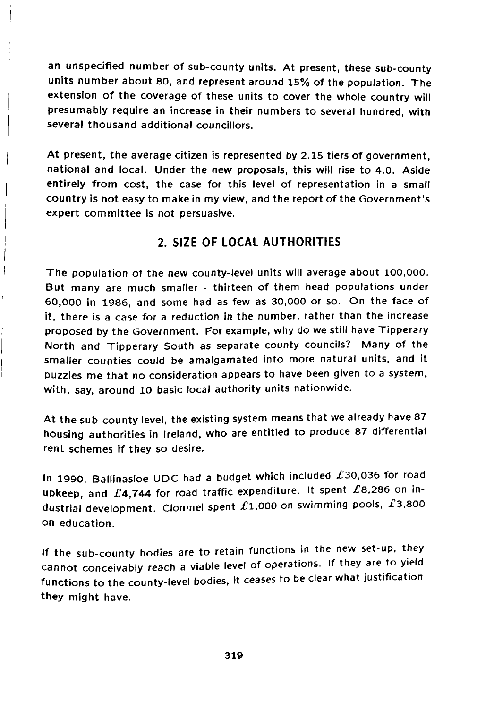an unspecified number of sub-county units. At present, these sub-county units number about 80, and represent around 15% of the population. The extension of the coverage of these units to cover the whole country will presumably require an increase in their numbers to several hundred, with several thousand additional councillors.

At present, the average citizen is represented by 2.15 tiers of government, national and local. Under the new proposals, this will rise to 4.0. Aside entirely from cost, the case for this level of representation in a small country is not easy to make in my view, and the report of the Government's expert committee is not persuasive.

### **2. SIZE OF LOCAL AUTHORITIES**

The population of the new county-level units will average about 100,000. But many are much smaller - thirteen of them head populations under 60,000 in 1986, and some had as few as 30,000 or so. On the face of it, there is a case for a reduction in the number, rather than the increase proposed by the Government. For example, why do we still have Tipperary North and Tipperary South as separate county councils? Many of the smaller counties could be amalgamated into more natural units, and it puzzles me that no consideration appears to have been given to a system, with, say, around 10 basic local authority units nationwide.

ţ

At the sub-county level, the existing system means that we already have 87 housing authorities in Ireland, who are entitled to produce 87 differential rent schemes if they so desire.

In 1990, Ballinasloe UDC had a budget which included  $£30,036$  for road upkeep, and  $£4,744$  for road traffic expenditure. It spent  $£8,286$  on industrial development. Clonmel spent  $\pounds$ 1,000 on swimming pools,  $\pounds$ 3,800 on education.

If the sub-county bodies are to retain functions in the new set-up, they cannot conceivably reach a viable level of operations. If they are to yield functions to the county-level bodies, it ceases to be clear what justification they might have.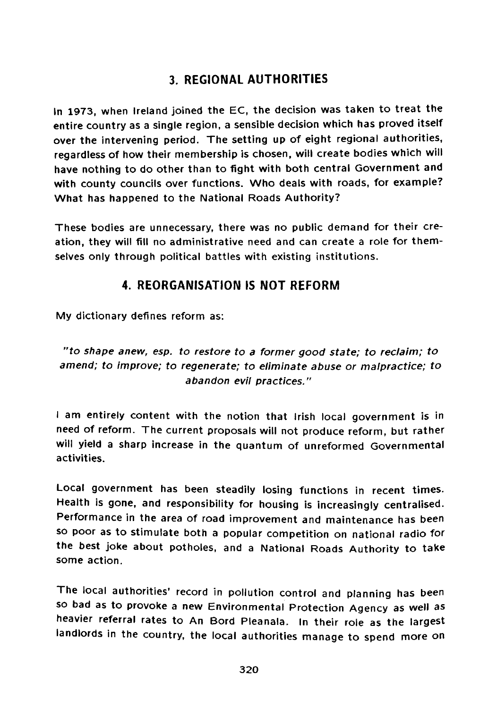## **3. REGIONAL AUTHORITIES**

In 1973, when Ireland joined the EC, the decision was taken to treat the entire country as a single region, a sensible decision which has proved itself over the intervening period. The setting up of eight regional authorities, regardless of how their membership is chosen, will create bodies which will have nothing to do other than to fight with both central Government and with county councils over functions. Who deals with roads, for example? What has happened to the National Roads Authority?

These bodies are unnecessary, there was no public demand for their creation, they will fill no administrative need and can create a role for themselves only through political battles with existing institutions.

### **4. REORGANISATION IS NOT REFORM**

My dictionary defines reform as:

"to shape anew, esp. to restore to a former good state; to reclaim; to amend; to improve; to regenerate; to eliminate abuse or malpractice; to abandon evil practices."

I am entirely content with the notion that Irish local government is in need of reform. The current proposals will not produce reform, but rather will yield a sharp increase in the quantum of unreformed Governmental activities.

Local government has been steadily losing functions in recent times. Health is gone, and responsibility for housing is increasingly centralised. Performance in the area of road improvement and maintenance has been so poor as to stimulate both a popular competition on national radio for the best joke about potholes, and a National Roads Authority to take some action.

The local authorities' record in pollution control and planning has been so bad as to provoke a new Environmental Protection Agency as well as heavier referral rates to An Bord Pleanala. In their role as the largest landlords in the country, the local authorities manage to spend more on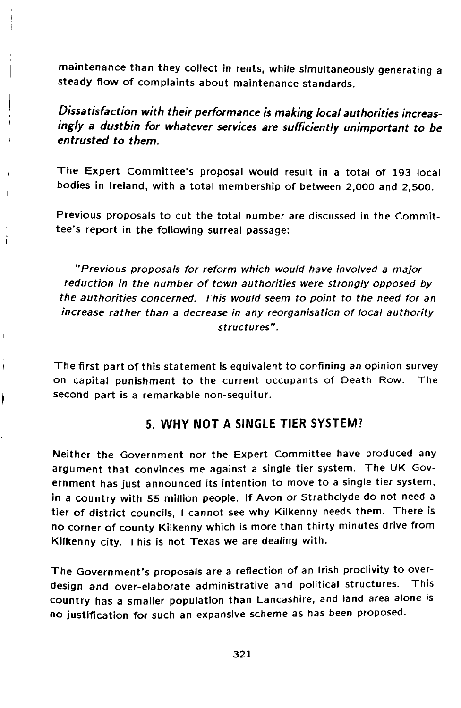maintenance than they collect in rents, while simultaneously generating a steady flow of complaints about maintenance standards.

Dissatisfaction with their performance is making local authorities increasingly a dustbin for whatever services are sufficiently unimportant to be entrusted to them.

The Expert Committee's proposal would result in a total of 193 local bodies in Ireland, with a total membership of between 2,000 and 2,500.

Previous proposals to cut the total number are discussed in the Committee's report in the following surreal passage:

"Previous proposals for reform which would have involved a major reduction in the number of town authorities were strongly opposed by the authorities concerned. This would seem to point to the need for an increase rather than a decrease in any reorganisation of local authority structures".

ï

The first part of this statement is equivalent to confining an opinion survey on capital punishment to the current occupants of Death Row. The second part is a remarkable non-sequitur.

#### **5. WHY NOT A SINGLE TIER SYSTEM?**

Neither the Government nor the Expert Committee have produced any argument that convinces me against a single tier system. The UK Government has just announced its intention to move to a single tier system, in a country with 55 million people. If Avon or Strathclyde do not need a tier of district councils, I cannot see why Kilkenny needs them. There is no corner of county Kilkenny which is more than thirty minutes drive from Kilkenny city. This is not Texas we are dealing with.

The Government's proposals are a reflection of an Irish proclivity to overdesign and over-elaborate administrative and political structures. This country has a smaller population than Lancashire, and land area alone is no justification for such an expansive scheme as has been proposed.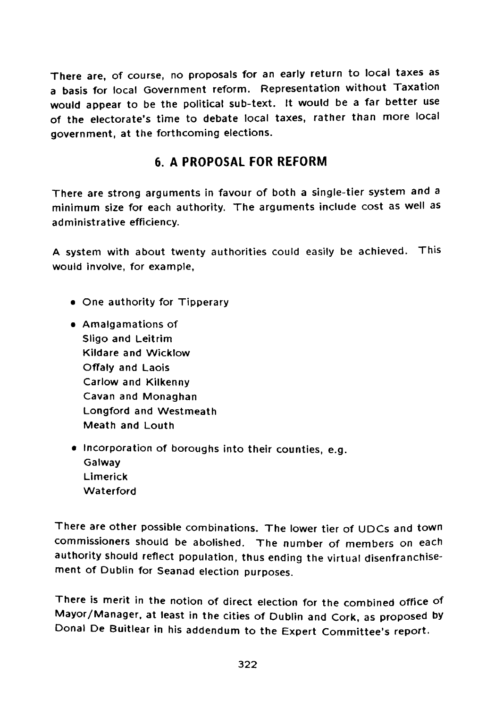There are, of course, no proposals for an early return to local taxes as a basis for local Government reform. Representation without Taxation would appear to be the political sub-text. It would be a far better use of the electorate's time to debate local taxes, rather than more local government, at the forthcoming elections.

## **6. A PROPOSAL FOR REFORM**

There are strong arguments in favour of both a single-tier system and a minimum size for each authority. The arguments include cost as well as administrative efficiency.

A system with about twenty authorities could easily be achieved. This would involve, for example,

- One authority for Tipperary
- Amalgamations of Sligo and Leitrim Kildare and Wicklow Offaly and Laois Carlow and Kilkenny Cavan and Monaghan Longford and Westmeath Meath and Louth
- Incorporation of boroughs into their counties, e.g. Galway Limerick **Waterford**

There are other possible combinations. The lower tier of UDCs and town commissioners should be abolished. The number of members on each authority should reflect population, thus ending the virtual disenfranchisement of Dublin for Seanad election purposes.

There is merit in the notion of direct election for the combined office of Mayor/Manager, at least in the cities of Dublin and Cork, as proposed by Donal De Buitlear in his addendum to the Expert Committee's report.